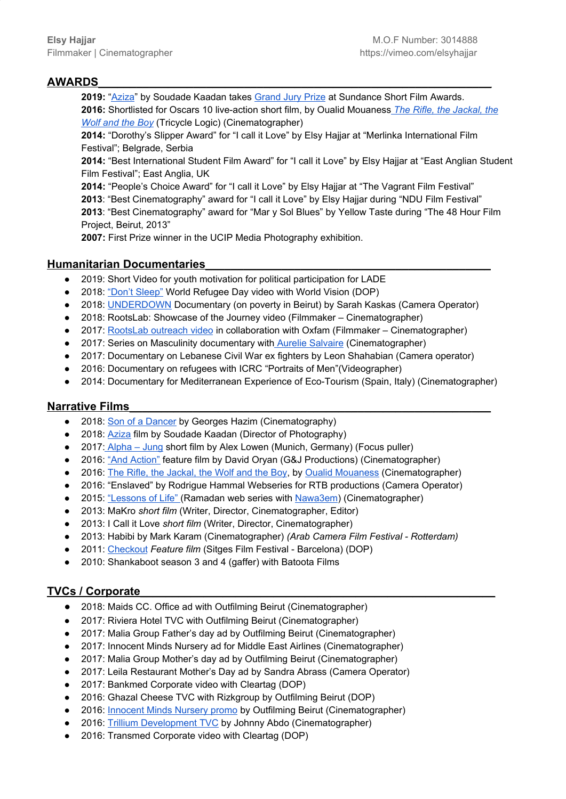# **AWARDS\_\_\_\_\_\_\_\_\_\_\_\_\_\_\_\_\_\_\_\_\_\_\_\_\_\_\_\_\_\_\_\_\_\_\_\_\_\_\_\_\_\_\_\_\_\_\_\_\_\_\_\_\_\_\_\_\_\_\_\_\_\_**

**2019:** ["Aziza"](https://www.imdb.com/title/tt9510082/) by Soudade Kaadan takes [Grand](https://deadline.com/2019/01/sundance-film-festival-2019-short-awards-aziza-grand-jury-prize-1202545198/) Jury Prize at Sundance Short Film Awards. **2016:** Shortlisted for Oscars 10 live-action short film, by Oualid Mouaness *[T](https://www.indieshortsmag.com/reviews/2017/01/review-the-rifle-the-jackal-the-wolf-the-boy/)he Rifle, the [Jackal,](https://www.indieshortsmag.com/reviews/2017/01/review-the-rifle-the-jackal-the-wolf-the-boy/) the [Wolf](https://www.indieshortsmag.com/reviews/2017/01/review-the-rifle-the-jackal-the-wolf-the-boy/) and the Boy* (Tricycle Logic) (Cinematographer)

**2014:** "Dorothy's Slipper Award" for "I call it Love" by Elsy Hajjar at "Merlinka International Film Festival"; Belgrade, Serbia

**2014:** "Best International Student Film Award" for "I call it Love" by Elsy Hajjar at "East Anglian Student Film Festival"; East Anglia, UK

**2014:** "People's Choice Award" for "I call it Love" by Elsy Hajjar at "The Vagrant Film Festival"

**2013**: "Best Cinematography" award for "I call it Love" by Elsy Hajjar during "NDU Film Festival"

**2013**: "Best Cinematography" award for "Mar y Sol Blues" by Yellow Taste during "The 48 Hour Film Project, Beirut, 2013"

**2007:** First Prize winner in the UCIP Media Photography exhibition.

## **Humanitarian Documentaries\_\_\_\_\_\_\_\_\_\_\_\_\_\_\_\_\_\_\_\_\_\_\_\_\_\_\_\_\_\_\_\_\_\_\_\_\_\_\_\_\_\_\_\_\_**

- 2019: Short Video for youth motivation for political participation for LADE
- 2018: "Don't [Sleep"](https://www.wvi.org/lebanon/video/dont-sleep?fbclid=IwAR1BM2ls9vsujd1-27iQ0w2ll_GjeXr2V6veHr4k20LoA-ddPlyXh3M04MI) World Refugee Day video with World Vision (DOP)
- 2018: [UNDERDOWN](http://maffswe.com/underdown/) Documentary (on poverty in Beirut) by Sarah Kaskas (Camera Operator)
- 2018: RootsLab: Showcase of the Journey video (Filmmaker Cinematographer)
- 2017: [RootsLab](https://vimeo.com/247237274) outreach video in collaboration with Oxfam (Filmmaker Cinematographer)
- 2017: Series on Masculinity documentary with Aurelie [Salvaire](https://www.udemy.com/user/aurelie-salvaire/) (Cinematographer)
- 2017: Documentary on Lebanese Civil War ex fighters by Leon Shahabian (Camera operator)
- 2016: Documentary on refugees with ICRC "Portraits of Men"(Videographer)
- 2014: Documentary for Mediterranean Experience of Eco-Tourism (Spain, Italy) (Cinematographer)

#### **Narrative Films**

- 2018: Son of a [Dancer](https://www.imdb.com/title/tt9652022/) by Georges Hazim (Cinematography)
- 2018: [Aziza](https://www.imdb.com/title/tt9510082/) film by Soudade Kaadan (Director of Photography)
- 2017: [Alpha](https://www.youtube.com/watch?v=ynY9AGMwkWM) Jung short film by Alex Lowen (Munich, Germany) (Focus puller)
- 2016: "And [Action"](https://www.imdb.com/title/tt6092354/) feature film by David Oryan (G&J Productions) (Cinematographer)
- 2016: The Rifle, the [Jackal,](https://www.imdb.com/title/tt4865642/) the Wolf and the Boy, by Oualid [Mouaness](https://www.tricyclelogic.com/) (Cinematographer)
- 2016: "Enslaved" by Rodrigue Hammal Webseries for RTB productions (Camera Operator)
- 2015: ["Lessons](http://www.nawa3em.com/lessons_of_life.aspx) of Life" (Ramadan web series with [Nawa3em\)](http://www.nawa3em.com/) (Cinematographer)
- 2013: MaKro *short film* (Writer, Director, Cinematographer, Editor)
- 2013: I Call it Love *short film* (Writer, Director, Cinematographer)
- 2013: Habibi by Mark Karam (Cinematographer) *(Arab Camera Film Festival - Rotterdam)*
- 2011: [Checkout](https://www.imdb.com/title/tt1997307/) Feature *film* (Sitges Film Festival Barcelona) (DOP)
- 2010: Shankaboot season 3 and 4 (gaffer) with Batoota Films

## **TVCs / Corporate\_\_\_\_\_\_\_\_\_\_\_\_\_\_\_\_\_\_\_\_\_\_\_\_\_\_\_\_\_\_\_\_\_\_\_\_\_\_\_\_\_\_\_\_\_\_\_\_\_\_\_\_\_\_\_\_**

- 2018: Maids CC. Office ad with [Outfilming](http://dangstudio.com/outfilmingbeirut.com/) Beirut (Cinematographer)
- 2017: Riviera Hotel TVC with Outfilming Beirut (Cinematographer)
- 2017: Malia Group Father's day ad by Outfilming Beirut (Cinematographer)
- 2017: Innocent Minds Nursery ad for Middle East Airlines (Cinematographer)
- 2017: Malia Group Mother's day ad by Outfilming Beirut (Cinematographer)
- 2017: Leila Restaurant Mother's Day ad by Sandra Abrass (Camera Operator)
- 2017: Bankmed Corporate video with Cleartag (DOP)
- 2016: Ghazal Cheese TVC with Rizkgroup by Outfilming Beirut (DOP)
- 2016: [Innocent](https://vimeo.com/181029850) Minds Nursery promo by Outfilming Beirut (Cinematographer)
- 2016: Trillium [Development](https://www.youtube.com/watch?v=Y2bUEL6mKs4) TVC by Johnny Abdo (Cinematographer)
- 2016: Transmed Corporate video with Cleartag (DOP)